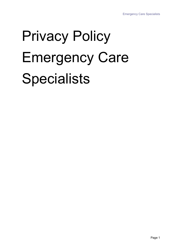# Privacy Policy Emergency Care **Specialists**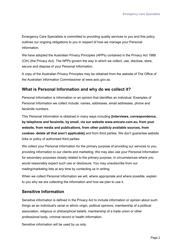Emergency Care Specialists is committed to providing quality services to you and this policy outlines our ongoing obligations to you in respect of how we manage your Personal Information.

We have adopted the Australian Privacy Principles (APPs) contained in the Privacy Act 1988 (Cth) (the Privacy Act). The NPPs govern the way in which we collect, use, disclose, store, secure and dispose of your Personal Information.

A copy of the Australian Privacy Principles may be obtained from the website of The Office of the Australian Information Commissioner at www.aoic.gov.au

#### **What is Personal Information and why do we collect it?**

Personal Information is information or an opinion that identifies an individual. Examples of Personal Information we collect include: names, addresses, email addresses, phone and facsimile numbers.

This Personal Information is obtained in many ways including **[interviews, correspondence, by telephone and facsimile, by email, via our website www.emcare.com.au, from your website, from media and publications, from other publicly available sources, from cookies- delete all that aren't applicable]** and from third parties. We don't guarantee website links or policy of authorised third parties.

We collect your Personal Information for the primary purpose of providing our services to you, providing information to our clients and marketing. We may also use your Personal Information for secondary purposes closely related to the primary purpose, in circumstances where you would reasonably expect such use or disclosure. You may unsubscribe from our mailing/marketing lists at any time by contacting us in writing.

When we collect Personal Information we will, where appropriate and where possible, explain to you why we are collecting the information and how we plan to use it.

### **Sensitive Information**

Sensitive information is defined in the Privacy Act to include information or opinion about such things as an individual's racial or ethnic origin, political opinions, membership of a political association, religious or philosophical beliefs, membership of a trade union or other professional body, criminal record or health information.

Sensitive information will be used by us only: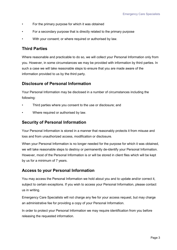- For the primary purpose for which it was obtained
- For a secondary purpose that is directly related to the primary purpose
- With your consent; or where required or authorised by law.

#### **Third Parties**

Where reasonable and practicable to do so, we will collect your Personal Information only from you. However, in some circumstances we may be provided with information by third parties. In such a case we will take reasonable steps to ensure that you are made aware of the information provided to us by the third party.

#### **Disclosure of Personal Information**

Your Personal Information may be disclosed in a number of circumstances including the following:

- Third parties where you consent to the use or disclosure; and
- Where required or authorised by law.

#### **Security of Personal Information**

Your Personal Information is stored in a manner that reasonably protects it from misuse and loss and from unauthorized access, modification or disclosure.

When your Personal Information is no longer needed for the purpose for which it was obtained, we will take reasonable steps to destroy or permanently de-identify your Personal Information. However, most of the Personal Information is or will be stored in client files which will be kept by us for a minimum of 7 years.

### **Access to your Personal Information**

You may access the Personal Information we hold about you and to update and/or correct it, subject to certain exceptions. If you wish to access your Personal Information, please contact us in writing.

Emergency Care Specialists will not charge any fee for your access request, but may charge an administrative fee for providing a copy of your Personal Information.

In order to protect your Personal Information we may require identification from you before releasing the requested information.